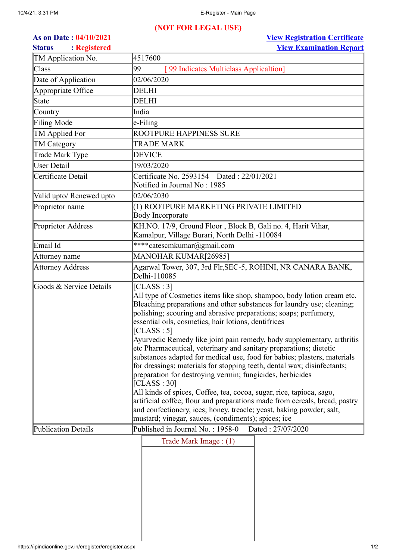## **(NOT FOR LEGAL USE)**

**As on Date : 04/10/2021 [View Registration Certificate](https://ipindiaonline.gov.in/eregister/showdocument.aspx?document_no=WFlaW1xdKS0sMCktLCtYWVpbXF0=) Status : Registered [View Examination Report](https://ipindiaonline.gov.in/eregister/examreport.aspx?APPLICATION_NUMBER=WFlaW1xdKywoLi0nJ1hZWltcXQ==)**

| TM Application No.       | 4517600                                                                                                                                                                                                                                                                                                                                                                                                                                                                                                                                                                                                                                                                                                                                                                                                                                                                                                                                                                           |
|--------------------------|-----------------------------------------------------------------------------------------------------------------------------------------------------------------------------------------------------------------------------------------------------------------------------------------------------------------------------------------------------------------------------------------------------------------------------------------------------------------------------------------------------------------------------------------------------------------------------------------------------------------------------------------------------------------------------------------------------------------------------------------------------------------------------------------------------------------------------------------------------------------------------------------------------------------------------------------------------------------------------------|
| Class                    | 99<br>[99 Indicates Multiclass Applicaltion]                                                                                                                                                                                                                                                                                                                                                                                                                                                                                                                                                                                                                                                                                                                                                                                                                                                                                                                                      |
| Date of Application      | 02/06/2020                                                                                                                                                                                                                                                                                                                                                                                                                                                                                                                                                                                                                                                                                                                                                                                                                                                                                                                                                                        |
| Appropriate Office       | <b>DELHI</b>                                                                                                                                                                                                                                                                                                                                                                                                                                                                                                                                                                                                                                                                                                                                                                                                                                                                                                                                                                      |
| <b>State</b>             | <b>DELHI</b>                                                                                                                                                                                                                                                                                                                                                                                                                                                                                                                                                                                                                                                                                                                                                                                                                                                                                                                                                                      |
| Country                  | India                                                                                                                                                                                                                                                                                                                                                                                                                                                                                                                                                                                                                                                                                                                                                                                                                                                                                                                                                                             |
| Filing Mode              | e-Filing                                                                                                                                                                                                                                                                                                                                                                                                                                                                                                                                                                                                                                                                                                                                                                                                                                                                                                                                                                          |
| TM Applied For           | ROOTPURE HAPPINESS SURE                                                                                                                                                                                                                                                                                                                                                                                                                                                                                                                                                                                                                                                                                                                                                                                                                                                                                                                                                           |
| TM Category              | <b>TRADE MARK</b>                                                                                                                                                                                                                                                                                                                                                                                                                                                                                                                                                                                                                                                                                                                                                                                                                                                                                                                                                                 |
| Trade Mark Type          | <b>DEVICE</b>                                                                                                                                                                                                                                                                                                                                                                                                                                                                                                                                                                                                                                                                                                                                                                                                                                                                                                                                                                     |
| <b>User Detail</b>       | 19/03/2020                                                                                                                                                                                                                                                                                                                                                                                                                                                                                                                                                                                                                                                                                                                                                                                                                                                                                                                                                                        |
| Certificate Detail       | Certificate No. 2593154 Dated: 22/01/2021<br>Notified in Journal No: 1985                                                                                                                                                                                                                                                                                                                                                                                                                                                                                                                                                                                                                                                                                                                                                                                                                                                                                                         |
| Valid upto/ Renewed upto | 02/06/2030                                                                                                                                                                                                                                                                                                                                                                                                                                                                                                                                                                                                                                                                                                                                                                                                                                                                                                                                                                        |
| Proprietor name          | (1) ROOTPURE MARKETING PRIVATE LIMITED<br><b>Body Incorporate</b>                                                                                                                                                                                                                                                                                                                                                                                                                                                                                                                                                                                                                                                                                                                                                                                                                                                                                                                 |
| Proprietor Address       | KH.NO. 17/9, Ground Floor, Block B, Gali no. 4, Harit Vihar,<br>Kamalpur, Village Burari, North Delhi -110084                                                                                                                                                                                                                                                                                                                                                                                                                                                                                                                                                                                                                                                                                                                                                                                                                                                                     |
| Email Id                 | ****catescmkumar@gmail.com                                                                                                                                                                                                                                                                                                                                                                                                                                                                                                                                                                                                                                                                                                                                                                                                                                                                                                                                                        |
| Attorney name            | MANOHAR KUMAR[26985]                                                                                                                                                                                                                                                                                                                                                                                                                                                                                                                                                                                                                                                                                                                                                                                                                                                                                                                                                              |
| Attorney Address         | Agarwal Tower, 307, 3rd Flr, SEC-5, ROHINI, NR CANARA BANK,<br>Delhi-110085                                                                                                                                                                                                                                                                                                                                                                                                                                                                                                                                                                                                                                                                                                                                                                                                                                                                                                       |
| Goods & Service Details  | [CLASS : 3]<br>All type of Cosmetics items like shop, shampoo, body lotion cream etc.<br>Bleaching preparations and other substances for laundry use; cleaning;<br>polishing; scouring and abrasive preparations; soaps; perfumery,<br>essential oils, cosmetics, hair lotions, dentifrices<br>[CLASS : 5]<br>Ayurvedic Remedy like joint pain remedy, body supplementary, arthritis<br>etc Pharmaceutical, veterinary and sanitary preparations; dietetic<br>substances adapted for medical use, food for babies; plasters, materials<br>for dressings; materials for stopping teeth, dental wax; disinfectants;<br>preparation for destroying vermin; fungicides, herbicides<br>[CLASS:30]<br>All kinds of spices, Coffee, tea, cocoa, sugar, rice, tapioca, sago,<br>artificial coffee; flour and preparations made from cereals, bread, pastry<br>and confectionery, ices; honey, treacle; yeast, baking powder; salt,<br>mustard; vinegar, sauces, (condiments); spices; ice |
| Publication Details      | Published in Journal No.: 1958-0<br>Dated: 27/07/2020                                                                                                                                                                                                                                                                                                                                                                                                                                                                                                                                                                                                                                                                                                                                                                                                                                                                                                                             |
|                          | Trade Mark Image : (1)                                                                                                                                                                                                                                                                                                                                                                                                                                                                                                                                                                                                                                                                                                                                                                                                                                                                                                                                                            |